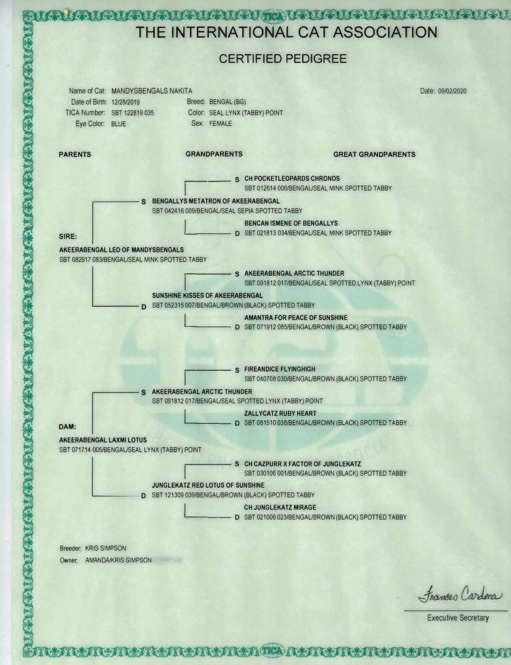

**TA LATALATALATALATALATALA TELALATALATALATALATALATALAT** 

Executive Secretary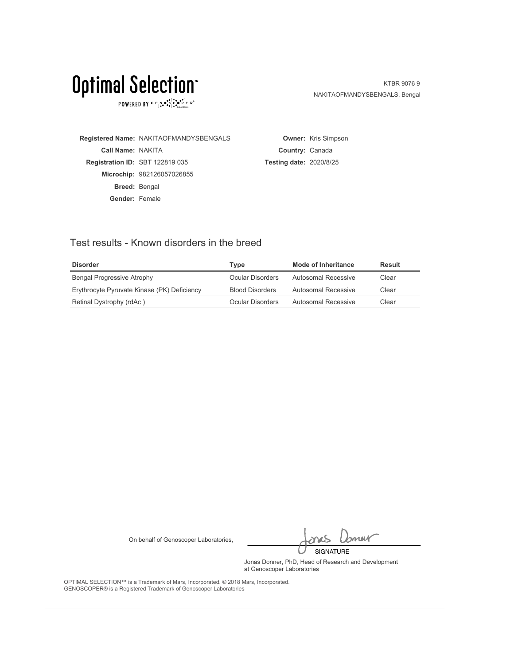POWERED BY  $G \in N_{\bullet} \bullet_{\bullet}^{\bullet} \overset{\uparrow}{\underset{\smile}{\circ}} \overset{\uparrow}{\underset{\smile}{\circ}} \overset{\uparrow}{\underset{\smile}{\circ}} \overset{\uparrow}{\underset{\smile}{\circ}} \overset{\uparrow}{\underset{\smile}{\circ}} \overset{\uparrow}{\underset{\smile}{\circ}} \overset{\uparrow}{\underset{\smile}{\circ}} \overset{\uparrow}{\underset{\smile}{\circ}} \overset{\uparrow}{\underset{\smile}{\circ}} \overset{\uparrow}{\underset{\smile}{\circ}}$ 

KTBR 9076 9 NAKITAOFMANDYSBENGALS, Bengal

**Registered Name:** NAKITAOFMANDYSBENGALS **Call Name:** NAKITA **Registration ID:** SBT 122819 035 **Microchip:** 982126057026855 **Breed:** Bengal **Gender:** Female

**Owner:** Kris Simpson **Country:** Canada **Testing date:** 2020/8/25

### Test results - Known disorders in the breed

| <b>Disorder</b>                             | Tvpe                   | Mode of Inheritance | Result |
|---------------------------------------------|------------------------|---------------------|--------|
| Bengal Progressive Atrophy                  | Ocular Disorders       | Autosomal Recessive | Clear  |
| Erythrocyte Pyruvate Kinase (PK) Deficiency | <b>Blood Disorders</b> | Autosomal Recessive | Clear  |
| Retinal Dystrophy (rdAc)                    | Ocular Disorders       | Autosomal Recessive | Clear  |

On behalf of Genoscoper Laboratories,

bnew SIGNATURE

Jonas Donner, PhD, Head of Research and Development at Genoscoper Laboratories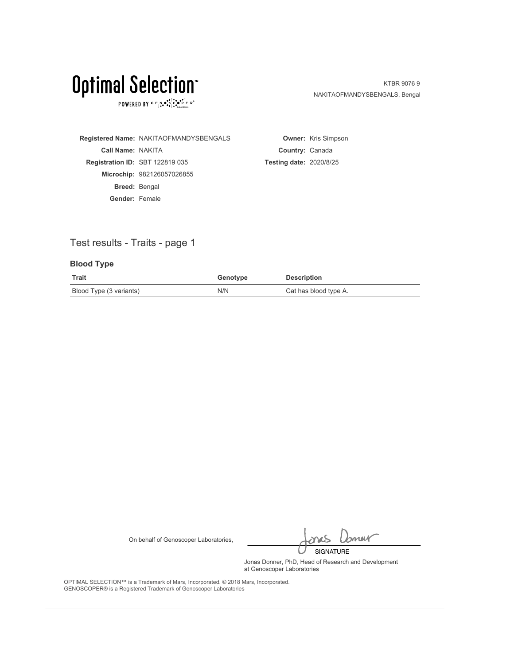POWERED BY  $G \in N_{\bullet} \bullet_{\bullet}^{\bullet} \overset{\uparrow}{\underset{\smile}{\circ}} \overset{\uparrow}{\underset{\smile}{\circ}} \overset{\uparrow}{\underset{\smile}{\circ}} \overset{\uparrow}{\underset{\smile}{\circ}} \overset{\uparrow}{\underset{\smile}{\circ}} \overset{\uparrow}{\underset{\smile}{\circ}} \overset{\uparrow}{\underset{\smile}{\circ}} \overset{\uparrow}{\underset{\smile}{\circ}} \overset{\uparrow}{\underset{\smile}{\circ}} \overset{\uparrow}{\underset{\smile}{\circ}}$ 

KTBR 9076 9 NAKITAOFMANDYSBENGALS, Bengal

**Registered Name:** NAKITAOFMANDYSBENGALS **Call Name:** NAKITA **Registration ID:** SBT 122819 035 **Microchip:** 982126057026855 **Breed:** Bengal **Gender:** Female **Owner:** Kris Simpson **Country:** Canada **Testing date:** 2020/8/25

## Test results - Traits - page 1

### **Blood Type**

| Trait                   | Genotype | <b>Description</b>    |
|-------------------------|----------|-----------------------|
| Blood Type (3 variants) | N/N      | Cat has blood type A. |

On behalf of Genoscoper Laboratories,

bnew SIGNATURE

Jonas Donner, PhD, Head of Research and Development at Genoscoper Laboratories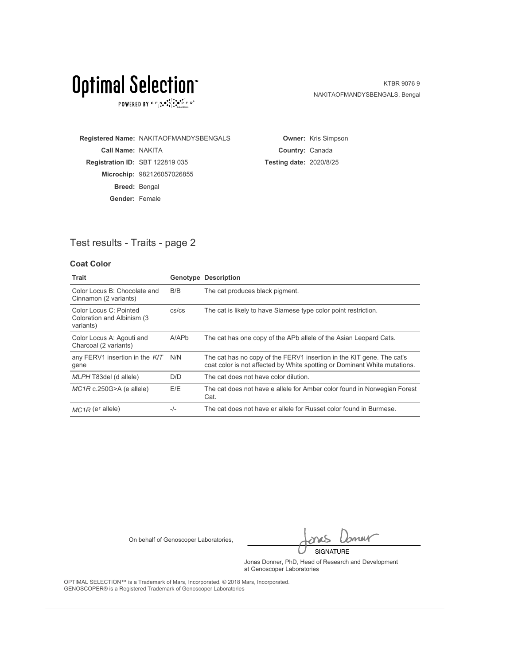POWERED BY  $G \in N_{\bullet} \bullet_{\bullet}^{\bullet} \overset{\uparrow}{\underset{\smile}{\circ}} \overset{\uparrow}{\underset{\smile}{\circ}} \overset{\uparrow}{\underset{\smile}{\circ}} \overset{\uparrow}{\underset{\smile}{\circ}} \overset{\uparrow}{\underset{\smile}{\circ}} \overset{\uparrow}{\underset{\smile}{\circ}} \overset{\uparrow}{\underset{\smile}{\circ}} \overset{\uparrow}{\underset{\smile}{\circ}} \overset{\uparrow}{\underset{\smile}{\circ}} \overset{\uparrow}{\underset{\smile}{\circ}}$ 

KTBR 9076 9 NAKITAOFMANDYSBENGALS, Bengal

**Registered Name:** NAKITAOFMANDYSBENGALS **Call Name:** NAKITA **Registration ID:** SBT 122819 035 **Microchip:** 982126057026855 **Breed:** Bengal **Gender:** Female

**Owner:** Kris Simpson **Country:** Canada **Testing date:** 2020/8/25

## Test results - Traits - page 2

### **Coat Color**

| Trait                                                              |             | <b>Genotype Description</b>                                                                                                                        |
|--------------------------------------------------------------------|-------------|----------------------------------------------------------------------------------------------------------------------------------------------------|
| Color Locus B: Chocolate and<br>Cinnamon (2 variants)              | B/B         | The cat produces black pigment.                                                                                                                    |
| Color Locus C: Pointed<br>Coloration and Albinism (3)<br>variants) | $cs$ / $cs$ | The cat is likely to have Siamese type color point restriction.                                                                                    |
| Color Locus A: Agouti and<br>Charcoal (2 variants)                 | A/APb       | The cat has one copy of the APb allele of the Asian Leopard Cats.                                                                                  |
| any FERV1 insertion in the KIT<br>gene                             | N/N         | The cat has no copy of the FERV1 insertion in the KIT gene. The cat's<br>coat color is not affected by White spotting or Dominant White mutations. |
| MLPH T83del (d allele)                                             | D/D         | The cat does not have color dilution.                                                                                                              |
| $MC1R$ c.250G>A (e allele)                                         | E/E         | The cat does not have e allele for Amber color found in Norwegian Forest<br>Cat.                                                                   |
| $MC1R$ (e <sup>r</sup> allele)                                     | $-/-$       | The cat does not have er allele for Russet color found in Burmese.                                                                                 |

On behalf of Genoscoper Laboratories,

bnew SIGNATURE

Jonas Donner, PhD, Head of Research and Development at Genoscoper Laboratories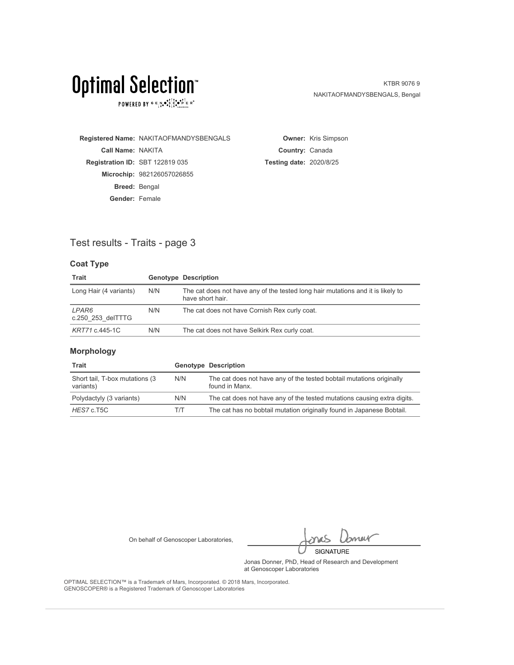POWERED BY  $G \in N_{\bullet} \bullet_{\bullet}^{\bullet} \overset{\uparrow}{\underset{\smile}{\circ}} \overset{\uparrow}{\underset{\smile}{\circ}} \overset{\uparrow}{\underset{\smile}{\circ}} \overset{\uparrow}{\underset{\smile}{\circ}} \overset{\uparrow}{\underset{\smile}{\circ}} \overset{\uparrow}{\underset{\smile}{\circ}} \overset{\uparrow}{\underset{\smile}{\circ}} \overset{\uparrow}{\underset{\smile}{\circ}} \overset{\uparrow}{\underset{\smile}{\circ}} \overset{\uparrow}{\underset{\smile}{\circ}}$ 

KTBR 9076 9 NAKITAOFMANDYSBENGALS, Bengal

**Registered Name:** NAKITAOFMANDYSBENGALS **Call Name:** NAKITA **Registration ID:** SBT 122819 035 **Microchip:** 982126057026855 **Breed:** Bengal **Gender:** Female

**Owner:** Kris Simpson **Country:** Canada **Testing date:** 2020/8/25

### Test results - Traits - page 3

### **Coat Type**

| <b>Trait</b>               |     | <b>Genotype Description</b>                                                                         |
|----------------------------|-----|-----------------------------------------------------------------------------------------------------|
| Long Hair (4 variants)     | N/N | The cat does not have any of the tested long hair mutations and it is likely to<br>have short hair. |
| LPAR6<br>c.250 253 delTTTG | N/N | The cat does not have Cornish Rex curly coat.                                                       |
| KRT71 c.445-1C             | N/N | The cat does not have Selkirk Rex curly coat.                                                       |

### **Morphology**

| Trait                                        |     | <b>Genotype Description</b>                                                            |
|----------------------------------------------|-----|----------------------------------------------------------------------------------------|
| Short tail, T-box mutations (3)<br>variants) | N/N | The cat does not have any of the tested bobtail mutations originally<br>found in Manx. |
| Polydactyly (3 variants)                     | N/N | The cat does not have any of the tested mutations causing extra digits.                |
| HES7 c.T5C                                   | T/T | The cat has no bobtail mutation originally found in Japanese Bobtail.                  |

On behalf of Genoscoper Laboratories,

bnew SIGNATURE

Jonas Donner, PhD, Head of Research and Development at Genoscoper Laboratories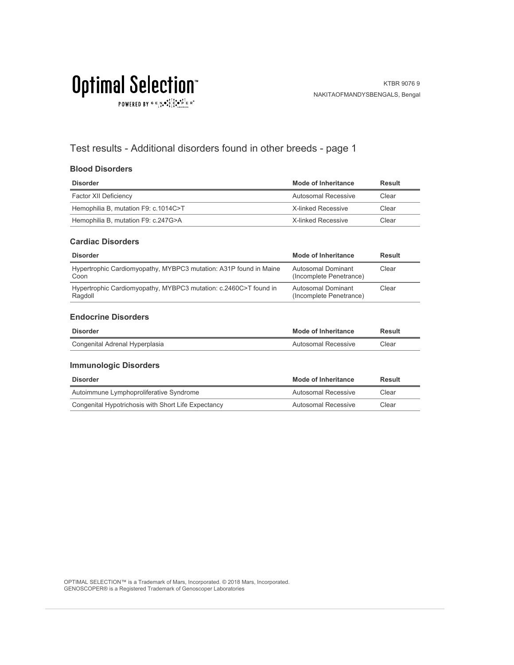$\texttt{POWERED BY} \texttt{G} \xrightarrow{P} \mathbf{A} \bullet \begin{smallmatrix} \texttt{S} & \texttt{S} & \texttt{S} & \texttt{S} \\ \texttt{S} & \texttt{S} & \texttt{S} & \texttt{S} \\ \texttt{S} & \texttt{S} & \texttt{S} & \texttt{S} \end{smallmatrix} \xrightarrow{P} \begin{smallmatrix} \texttt{S} & \texttt{S} & \texttt{S} \\ \texttt{S} & \texttt{S} & \texttt{S} & \texttt{S} \end{smallmatrix} \xrightarrow{P} \begin{smallmatrix} \texttt{S} & \texttt{S} & \texttt$ 

## Test results - Additional disorders found in other breeds - page 1

### **Blood Disorders**

| <b>Disorder</b>                      | Mode of Inheritance | Result |
|--------------------------------------|---------------------|--------|
| Factor XII Deficiency                | Autosomal Recessive | Clear  |
| Hemophilia B, mutation F9: c.1014C>T | X-linked Recessive  | Clear  |
| Hemophilia B, mutation F9: c.247G>A  | X-linked Recessive  | Clear  |

#### **Cardiac Disorders**

| <b>Disorder</b>                                                             | Mode of Inheritance                           | Result |
|-----------------------------------------------------------------------------|-----------------------------------------------|--------|
| Hypertrophic Cardiomyopathy, MYBPC3 mutation: A31P found in Maine<br>Coon   | Autosomal Dominant<br>(Incomplete Penetrance) | Clear  |
| Hypertrophic Cardiomyopathy, MYBPC3 mutation: c.2460C>T found in<br>Ragdoll | Autosomal Dominant<br>(Incomplete Penetrance) | Clear  |

#### **Endocrine Disorders**

| Disorder                       | <b>Mode of Inheritance</b> | Result |
|--------------------------------|----------------------------|--------|
| Congenital Adrenal Hyperplasia | Autosomal Recessive        | Clear  |

### **Immunologic Disorders**

| <b>Disorder</b>                                     | Mode of Inheritance | Result |
|-----------------------------------------------------|---------------------|--------|
| Autoimmune Lymphoproliferative Syndrome             | Autosomal Recessive | Clear  |
| Congenital Hypotrichosis with Short Life Expectancy | Autosomal Recessive | Clear  |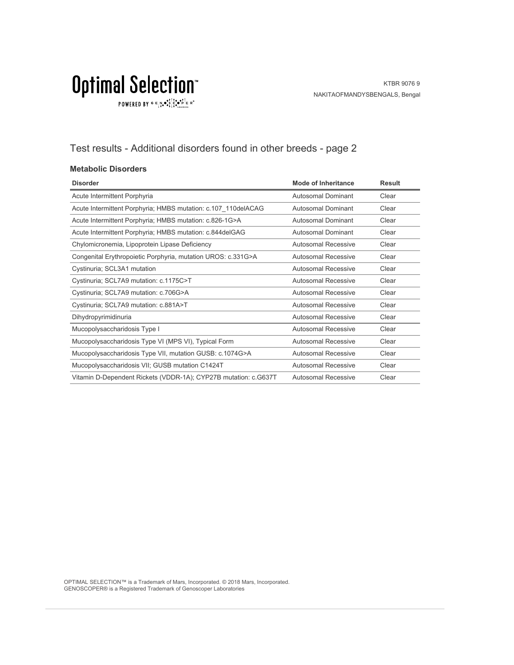$\texttt{POWERED BY} \overset{\text{G}}{=} \underset{\textbf{1}}{\text{N}} \bullet \overset{\text{G}}{\text{S}} \underset{\textbf{1}}{\overset{\text{I}}{\text{I}}}\circ \overset{\text{G}}{\bullet}\overset{\text{F}}{\text{I}} \underset{\text{the becomes}}{\overset{\text{G}}{\text{F}}} \mathbb{R}^\circ$ 

## Test results - Additional disorders found in other breeds - page 2

### **Metabolic Disorders**

| <b>Disorder</b>                                                 | Mode of Inheritance        | <b>Result</b> |
|-----------------------------------------------------------------|----------------------------|---------------|
| Acute Intermittent Porphyria                                    | Autosomal Dominant         | Clear         |
| Acute Intermittent Porphyria; HMBS mutation: c.107_110delACAG   | Autosomal Dominant         | Clear         |
| Acute Intermittent Porphyria; HMBS mutation: c.826-1G>A         | Autosomal Dominant         | Clear         |
| Acute Intermittent Porphyria; HMBS mutation: c.844delGAG        | Autosomal Dominant         | Clear         |
| Chylomicronemia, Lipoprotein Lipase Deficiency                  | Autosomal Recessive        | Clear         |
| Congenital Erythropoietic Porphyria, mutation UROS: c.331G>A    | Autosomal Recessive        | Clear         |
| Cystinuria; SCL3A1 mutation                                     | Autosomal Recessive        | Clear         |
| Cystinuria; SCL7A9 mutation: c.1175C>T                          | Autosomal Recessive        | Clear         |
| Cystinuria; SCL7A9 mutation: c.706G>A                           | Autosomal Recessive        | Clear         |
| Cystinuria; SCL7A9 mutation: c.881A>T                           | <b>Autosomal Recessive</b> | Clear         |
| Dihydropyrimidinuria                                            | <b>Autosomal Recessive</b> | Clear         |
| Mucopolysaccharidosis Type I                                    | <b>Autosomal Recessive</b> | Clear         |
| Mucopolysaccharidosis Type VI (MPS VI), Typical Form            | Autosomal Recessive        | Clear         |
| Mucopolysaccharidosis Type VII, mutation GUSB: c.1074G>A        | <b>Autosomal Recessive</b> | Clear         |
| Mucopolysaccharidosis VII; GUSB mutation C1424T                 | Autosomal Recessive        | Clear         |
| Vitamin D-Dependent Rickets (VDDR-1A); CYP27B mutation: c.G637T | Autosomal Recessive        | Clear         |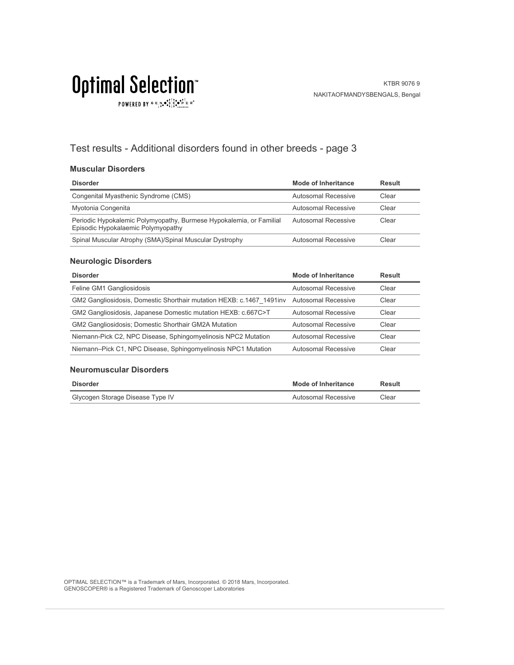POWERED BY  $G \in N_{\bullet} \bullet_{\bullet}^{\bullet,\dagger} \overset{\uparrow}{C}_{\bullet} \bullet_{\bullet}^{\bullet,\dagger} \overset{\uparrow}{C}_{\text{Latocrosics}} \mathbb{R}^{\circ}$ 

## Test results - Additional disorders found in other breeds - page 3

### **Muscular Disorders**

| <b>Disorder</b>                                                                                           | Mode of Inheritance | Result |
|-----------------------------------------------------------------------------------------------------------|---------------------|--------|
| Congenital Myasthenic Syndrome (CMS)                                                                      | Autosomal Recessive | Clear  |
| Myotonia Congenita                                                                                        | Autosomal Recessive | Clear  |
| Periodic Hypokalemic Polymyopathy, Burmese Hypokalemia, or Familial<br>Episodic Hypokalaemic Polymyopathy | Autosomal Recessive | Clear  |
| Spinal Muscular Atrophy (SMA)/Spinal Muscular Dystrophy                                                   | Autosomal Recessive | Clear  |

### **Neurologic Disorders**

| <b>Disorder</b>                                                                           | <b>Mode of Inheritance</b> | <b>Result</b> |
|-------------------------------------------------------------------------------------------|----------------------------|---------------|
| Feline GM1 Gangliosidosis                                                                 | Autosomal Recessive        | Clear         |
| GM2 Gangliosidosis, Domestic Shorthair mutation HEXB: c.1467 1491 inv Autosomal Recessive |                            | Clear         |
| GM2 Gangliosidosis, Japanese Domestic mutation HEXB: c.667C>T                             | Autosomal Recessive        | Clear         |
| <b>GM2 Gangliosidosis: Domestic Shorthair GM2A Mutation</b>                               | Autosomal Recessive        | Clear         |
| Niemann-Pick C2, NPC Disease, Sphingomyelinosis NPC2 Mutation                             | Autosomal Recessive        | Clear         |
| Niemann-Pick C1, NPC Disease, Sphingomyelinosis NPC1 Mutation                             | Autosomal Recessive        | Clear         |

### **Neuromuscular Disorders**

| Disorder                         | <b>Mode of Inheritance</b> | Result |
|----------------------------------|----------------------------|--------|
| Glycogen Storage Disease Type IV | Autosomal Recessive        | Clear  |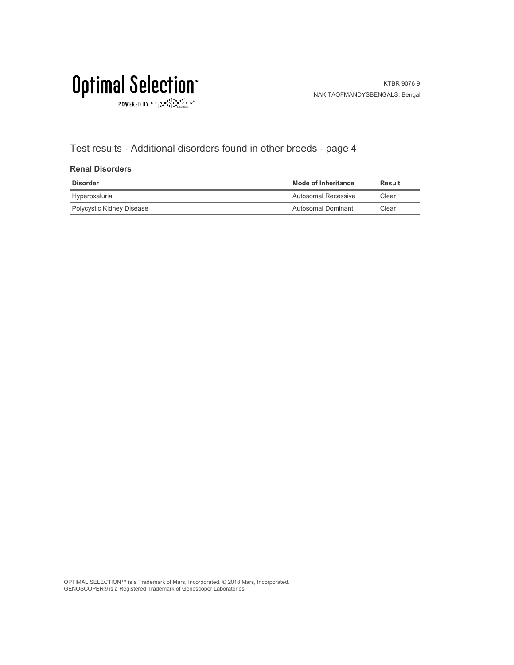$\texttt{POWERED BY} \overset{\text{G}}{=} \underset{\textbf{1}}{\text{N}} \bullet \overset{\text{G}}{\text{S}} \underset{\textbf{1}}{\overset{\text{I}}{\text{I}}}\circ \overset{\text{G}}{\bullet}\overset{\text{F}}{\text{I}} \underset{\text{the becomes}}{\overset{\text{G}}{\text{F}}} \mathbb{R}^\circ$ 

## Test results - Additional disorders found in other breeds - page 4

### **Renal Disorders**

| <b>Disorder</b>           | <b>Mode of Inheritance</b> | Result |
|---------------------------|----------------------------|--------|
| Hyperoxaluria             | Autosomal Recessive        | Clear  |
| Polycystic Kidney Disease | Autosomal Dominant         | Clear  |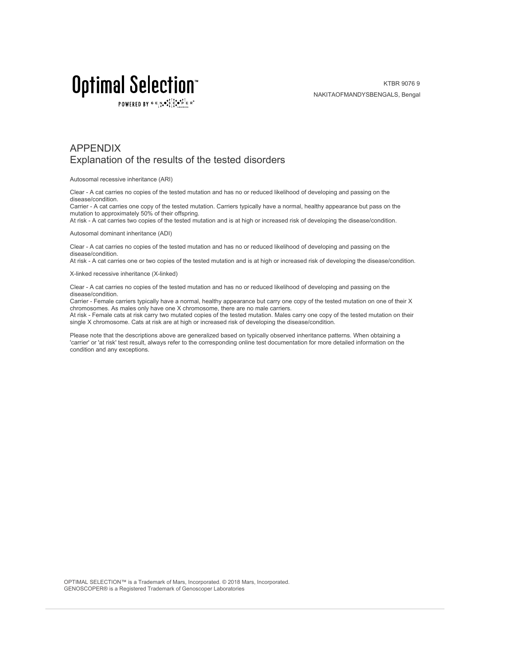POWERED BY  $G \in N_{\bullet} \bullet_{\bullet}^{\dagger} \stackrel{\uparrow}{\circ} \bullet_{\mathbf{P}}^{\dagger} \in R^{\circ}$ 

KTBR 9076 9 NAKITAOFMANDYSBENGALS, Bengal

### APPENDIX Explanation of the results of the tested disorders

Autosomal recessive inheritance (ARI)

Clear - A cat carries no copies of the tested mutation and has no or reduced likelihood of developing and passing on the disease/condition.

Carrier - A cat carries one copy of the tested mutation. Carriers typically have a normal, healthy appearance but pass on the mutation to approximately 50% of their offspring.

At risk - A cat carries two copies of the tested mutation and is at high or increased risk of developing the disease/condition.

Autosomal dominant inheritance (ADI)

Clear - A cat carries no copies of the tested mutation and has no or reduced likelihood of developing and passing on the disease/condition.

At risk - A cat carries one or two copies of the tested mutation and is at high or increased risk of developing the disease/condition.

X-linked recessive inheritance (X-linked)

Clear - A cat carries no copies of the tested mutation and has no or reduced likelihood of developing and passing on the disease/condition.

Carrier - Female carriers typically have a normal, healthy appearance but carry one copy of the tested mutation on one of their X chromosomes. As males only have one X chromosome, there are no male carriers.

At risk - Female cats at risk carry two mutated copies of the tested mutation. Males carry one copy of the tested mutation on their single X chromosome. Cats at risk are at high or increased risk of developing the disease/condition.

Please note that the descriptions above are generalized based on typically observed inheritance patterns. When obtaining a 'carrier' or 'at risk' test result, always refer to the corresponding online test documentation for more detailed information on the condition and any exceptions.